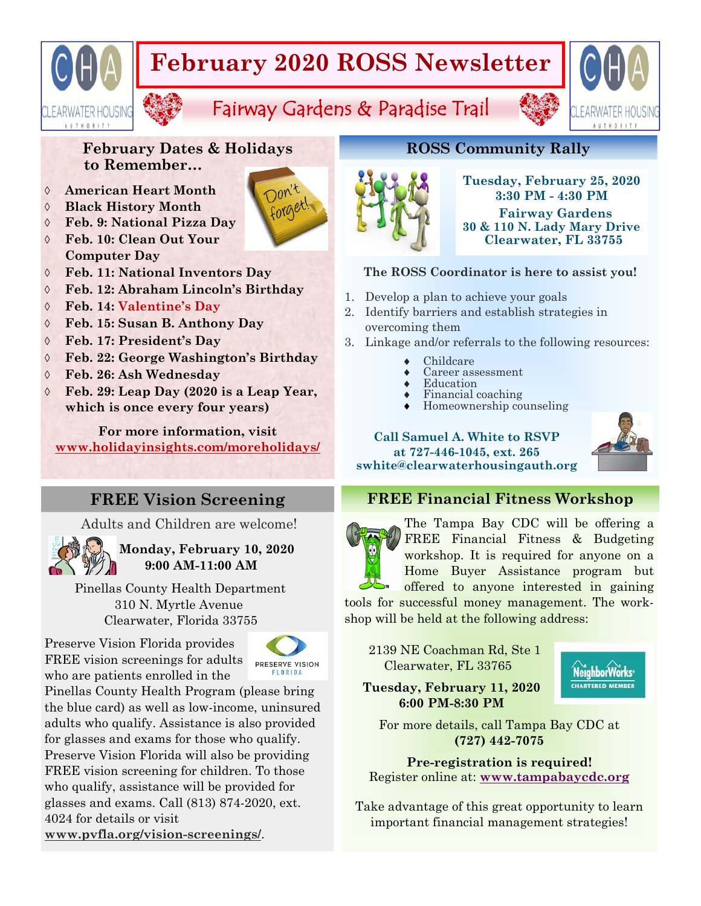# **February 2020 ROSS Newsletter**

Fairway Gardens & Paradise Trail



**February Dates & Holidays to Remember…** 

## **American Heart Month**

- **Black History Month**
- **Feb. 9: National Pizza Day**
- **Feb. 10: Clean Out Your Computer Day**
- **Feb. 11: National Inventors Day**
- **Feb. 12: Abraham Lincoln's Birthday**
- **Feb. 14: Valentine's Day**
- **Feb. 15: Susan B. Anthony Day**
- **Feb. 17: President's Day**
- **Feb. 22: George Washington's Birthday**
- **Feb. 26: Ash Wednesday**
- **Feb. 29: Leap Day (2020 is a Leap Year, which is once every four years)**

**For more information, visit www.holidayinsights.com/moreholidays/**

Adults and Children are welcome!

**Monday, February 10, 2020 9:00 AM-11:00 AM** 

 Pinellas County Health Department 310 N. Myrtle Avenue Clearwater, Florida 33755

Preserve Vision Florida provides FREE vision screenings for adults who are patients enrolled in the



Pinellas County Health Program (please bring the blue card) as well as low-income, uninsured adults who qualify. Assistance is also provided for glasses and exams for those who qualify. Preserve Vision Florida will also be providing FREE vision screening for children. To those who qualify, assistance will be provided for glasses and exams. Call (813) 874-2020, ext. 4024 for details or visit **www.pvfla.org/vision-screenings/**.

# **ROSS Community Rally**



# **Tuesday, February 25, 2020 3:30 PM - 4:30 PM**

 **Fairway Gardens 30 & 110 N. Lady Mary Drive Clearwater, FL 33755** 

## **The ROSS Coordinator is here to assist you!**

- 1. Develop a plan to achieve your goals
- 2. Identify barriers and establish strategies in overcoming them
- 3. Linkage and/or referrals to the following resources:
	- Childcare
	- Career assessment
	- Education
	- Financial coaching Homeownership counseling
	-

### **Call Samuel A. White to RSVP at 727-446-1045, ext. 265 swhite@clearwaterhousingauth.org**



# **FREE Vision Screening FREE Financial Fitness Workshop**



The Tampa Bay CDC will be offering a FREE Financial Fitness & Budgeting workshop. It is required for anyone on a Home Buyer Assistance program but offered to anyone interested in gaining

tools for successful money management. The workshop will be held at the following address:

 2139 NE Coachman Rd, Ste 1 Clearwater, FL 33765

NeighborWorks<sup>®</sup> **CHARTERED MEMBER** 

 **Tuesday, February 11, 2020 6:00 PM-8:30 PM** 

For more details, call Tampa Bay CDC at **(727) 442-7075** 

**Pre-registration is required!**  Register online at: **www.tampabaycdc.org** 

Take advantage of this great opportunity to learn important financial management strategies!